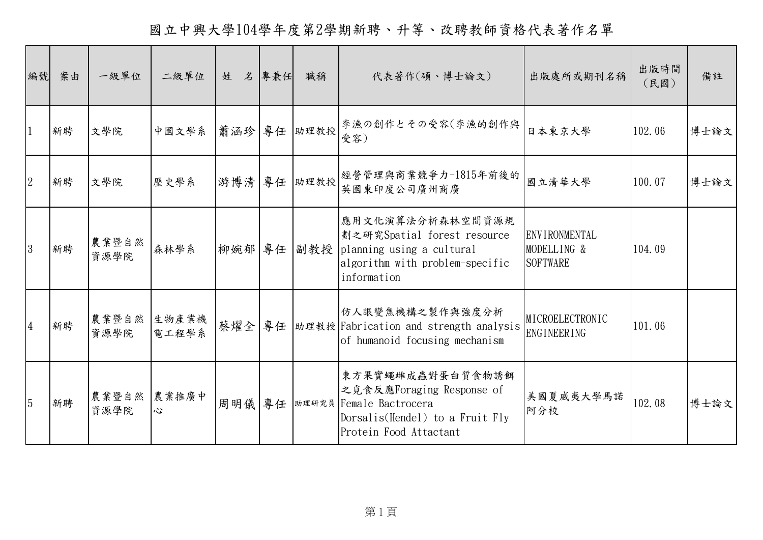國立中興大學104學年度第2學期新聘、升等、改聘教師資格代表著作名單

| 編號             | 案由 | 一級單位          | 二級單位           | 名<br>姓 | 專兼任 | 職稱           | 代表著作(碩、博士論文)                                                                                                                          | 出版處所或期刊名稱                                       | 出版時間<br>(民國) | 備註   |
|----------------|----|---------------|----------------|--------|-----|--------------|---------------------------------------------------------------------------------------------------------------------------------------|-------------------------------------------------|--------------|------|
|                | 新聘 | 文學院           | 中國文學系          |        |     | 蕭涵珍 專任  助理教授 | 李漁の創作とその受容(李漁的創作與<br>受容)                                                                                                              | 日本東京大學                                          | 102.06       | 博士論文 |
| $\overline{2}$ | 新聘 | 文學院           | 歷史學系           |        |     | 游博清 專任  助理教授 | 經營管理與商業競爭力-1815年前後的<br>英國東印度公司廣州商廣                                                                                                    | 國立清華大學                                          | 100.07       | 博士論文 |
| 3              | 新聘 | 農業暨自然<br>資源學院 | 森林學系           | 柳婉郁 專任 |     |              | 應用文化演算法分析森林空間資源規<br>劃之研究Spatial forest resource<br>副教授 planning using a cultural<br>algorithm with problem-specific<br>information    | ENVIRONMENTAL<br>MODELLING &<br><b>SOFTWARE</b> | 104.09       |      |
| $\overline{4}$ | 新聘 | 農業暨自然<br>資源學院 | 生物產業機<br>電工程學系 | 蔡燿全    | 專任  |              | 仿人眼變焦機構之製作與強度分析<br> 助理教授 Fabrication and strength analysis<br>of humanoid focusing mechanism                                          | MICROELECTRONIC<br><b>ENGINEERING</b>           | 101.06       |      |
| 5              | 新聘 | 農業暨自然<br>資源學院 | 農業推廣中<br>心     | 周明儀    | 專任  |              | 東方果實蠅雌成蟲對蛋白質食物誘餌<br>之覓食反應Foraging Response of<br>助理研究員 Female Bactrocera<br>Dorsalis(Hendel) to a Fruit Fly<br>Protein Food Attactant | 美國夏威夷大學馬諾<br>阿分校                                | 102.08       | 博士論文 |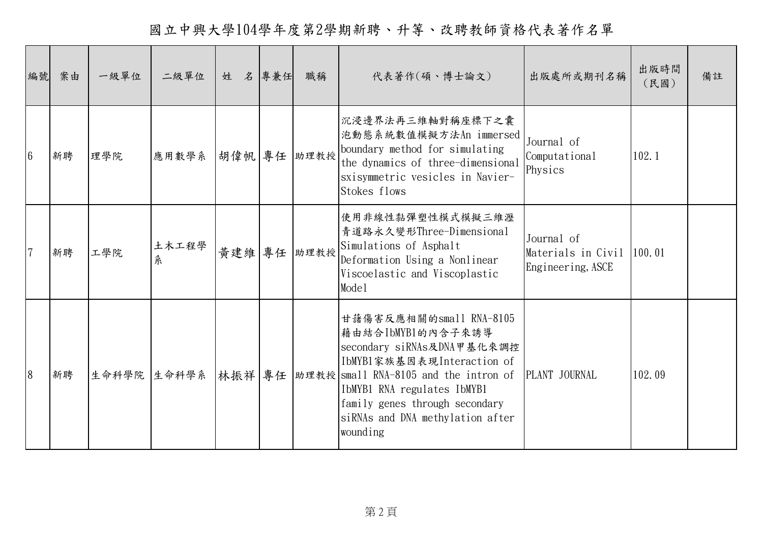國立中興大學104學年度第2學期新聘、升等、改聘教師資格代表著作名單

| 編號              | 案由 | 一級單位 | 二級單位              | 姓 | 名專兼任 | 職稱          | 代表著作(碩、博士論文)                                                                                                                                                                                                                                                                             | 出版處所或期刊名稱                                             | 出版時間<br>(民國) | 備註 |
|-----------------|----|------|-------------------|---|------|-------------|------------------------------------------------------------------------------------------------------------------------------------------------------------------------------------------------------------------------------------------------------------------------------------------|-------------------------------------------------------|--------------|----|
| $6\phantom{.}6$ | 新聘 | 理學院  | 應用數學系 胡偉帆 專任 助理教授 |   |      |             | 沉浸邊界法再三維軸對稱座標下之囊<br> 泡動態系統數值模擬方法An immersed<br>boundary method for simulating<br>the dynamics of three-dimensional<br>sxisymmetric vesicles in Navier-<br>Stokes flows                                                                                                                   | Journal of<br>Computational<br>Physics                | 102.1        |    |
|                 | 新聘 | 工學院  | 土木工程學<br>糸        |   |      | 黃建維 專任 助理教授 | 使用非線性黏彈塑性模式模擬三維瀝<br>青道路永久變形Three-Dimensional<br>Simulations of Asphalt<br>Deformation Using a Nonlinear<br>Viscoelastic and Viscoplastic<br>Mode1                                                                                                                                        | Journal of<br>Materials in Civil<br>Engineering, ASCE | 100.01       |    |
| 8               | 新聘 |      |                   |   |      |             | 甘藷傷害反應相關的small RNA-8105<br> 藉由結合IbMYB1的內含子來誘導<br>secondary siRNAs及DNA甲基化來調控<br> IbMYB1家族基因表現Interaction of<br>生命科學院 生命科學系 林振祥 專任  助理教授 small RNA-8105 and the intron of<br>IbMYB1 RNA regulates IbMYB1<br>family genes through secondary<br>siRNAs and DNA methylation after<br>wounding | PLANT JOURNAL                                         | 102.09       |    |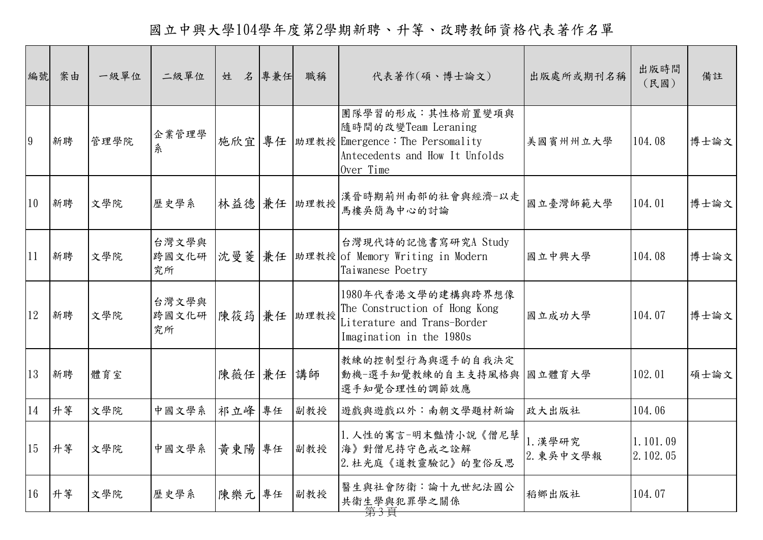國立中興大學104學年度第2學期新聘、升等、改聘教師資格代表著作名單

| 編號             | 案由 | 一級單位 | 二級單位                 | 姓<br>名 | 專兼任 | 職稱   | 代表著作(碩、博士論文)                                                                                                               | 出版處所或期刊名稱            | 出版時間<br>(民國)         | 備註   |
|----------------|----|------|----------------------|--------|-----|------|----------------------------------------------------------------------------------------------------------------------------|----------------------|----------------------|------|
| $\overline{9}$ | 新聘 | 管理學院 | 企業管理學<br>糸           | 施欣宜    | 專任  |      | 團隊學習的形成:其性格前置變項與<br>隨時間的改變Team Leraning<br> 助理教授 Emergence: The Persomality<br>Antecedents and How It Unfolds<br>Over Time | 美國賓州州立大學             | 104.08               | 博士論文 |
| 10             | 新聘 | 文學院  | 歷史學系                 | 林益德 兼任 |     | 助理教授 | 漢晉時期荊州南部的社會與經濟-以走<br>馬樓吳簡為中心的討論                                                                                            | 國立臺灣師範大學             | 104.01               | 博士論文 |
| 11             | 新聘 | 文學院  | 台灣文學與<br>跨國文化研<br>究所 |        |     |      | 台灣現代詩的記憶書寫研究A Study<br>沈曼菱 兼任   助理教授   of Memory Writing in Modern<br>Taiwanese Poetry                                     | 國立中興大學               | 104.08               | 博士論文 |
| 12             | 新聘 | 文學院  | 台灣文學與<br>跨國文化研<br>究所 | 陳筱筠 兼任 |     | 助理教授 | 1980年代香港文學的建構與跨界想像<br>The Construction of Hong Kong<br>Literature and Trans-Border<br>Imagination in the 1980s             | 國立成功大學               | 104.07               | 博士論文 |
| 13             | 新聘 | 體育室  |                      | 陳薇任 兼任 |     | 講師   | 教練的控制型行為與選手的自我決定<br>動機一選手知覺教練的自主支持風格與<br>選手知覺合理性的調節效應                                                                      | 國立體育大學               | 102.01               | 碩士論文 |
| 14             | 升等 | 文學院  | 中國文學系                | 祁立峰    | 專任  | 副教授  | 遊戲與遊戲以外:南朝文學題材新論                                                                                                           | 政大出版社                | 104.06               |      |
| 15             | 升等 | 文學院  | 中國文學系                | 黃東陽 專任 |     | 副教授  | 1. 人性的寓言-明末豔情小說《僧尼孽<br>海》對僧尼持守色戒之詮解<br>2. 杜光庭《道教靈驗記》的聖俗反思                                                                  | 1. 漢學研究<br>2. 東吳中文學報 | 1.101.09<br>2.102.05 |      |
| 16             | 升等 | 文學院  | 歷史學系                 | 陳樂元專任  |     | 副教授  | 醫生與社會防衛:論十九世紀法國公<br>共衛生學與犯罪學之關係                                                                                            | 稻鄉出版社                | 104.07               |      |

第 3 頁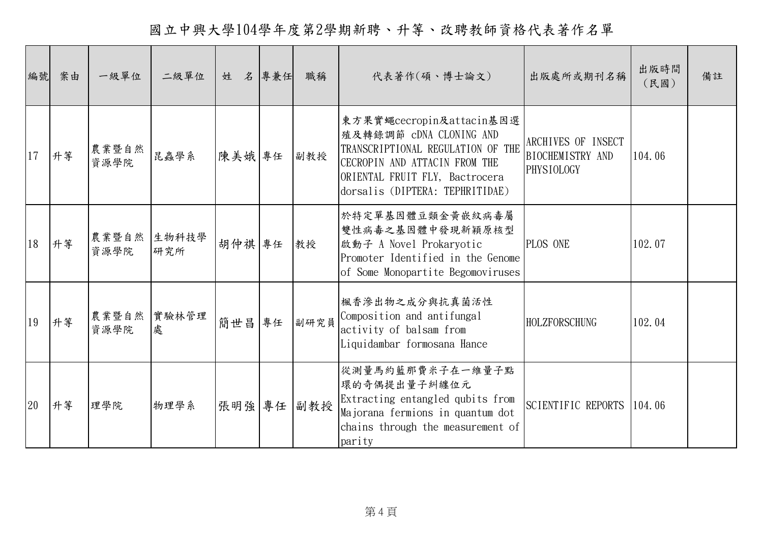國立中興大學104學年度第2學期新聘、升等、改聘教師資格代表著作名單

| 編號 | 案由 | 一級單位          | 二級單位         | 姓      | 名專兼任 | 職稱   | 代表著作(碩、博士論文)                                                                                                                                                                                   | 出版處所或期刊名稱                                            | 出版時間<br>(民國) | 備註 |
|----|----|---------------|--------------|--------|------|------|------------------------------------------------------------------------------------------------------------------------------------------------------------------------------------------------|------------------------------------------------------|--------------|----|
| 17 | 升等 | 農業暨自然<br>資源學院 | 昆蟲學系         | 陳美娥專任  |      | 副教授  | 東方果實蠅cecropin及attacin基因選<br>殖及轉錄調節 cDNA CLONING AND<br>TRANSCRIPTIONAL REGULATION OF THE<br>CECROPIN AND ATTACIN FROM THE<br>ORIENTAL FRUIT FLY, Bactrocera<br>dorsalis (DIPTERA: TEPHRITIDAE) | ARCHIVES OF INSECT<br>BIOCHEMISTRY AND<br>PHYSIOLOGY | 104.06       |    |
| 18 | 升等 | 農業暨自然<br>資源學院 | 生物科技學<br>研究所 | 胡仲祺 專任 |      | 教授   | 於特定單基因體豆類金黃嵌紋病毒屬<br>雙性病毒之基因體中發現新穎原核型<br>啟動子 A Novel Prokaryotic<br>Promoter Identified in the Genome<br>of Some Monopartite Begomoviruses                                                      | PLOS ONE                                             | 102.07       |    |
| 19 | 升等 | 農業暨自然<br>資源學院 | 實驗林管理<br>處   | 簡世昌    | 專任   | 副研究員 | 楓香滲出物之成分與抗真菌活性<br>Composition and antifungal<br>activity of balsam from<br>Liquidambar formosana Hance                                                                                         | <b>HOLZFORSCHUNG</b>                                 | 102.04       |    |
| 20 | 升等 | 理學院           | 物理學系         | 張明強    | 專任   | 副教授  | 從測量馬約藍那費米子在一維量子點<br>環的奇偶提出量子糾纏位元<br>Extracting entangled qubits from<br>Majorana fermions in quantum dot<br>chains through the measurement of<br>parity                                        | SCIENTIFIC REPORTS                                   | 104.06       |    |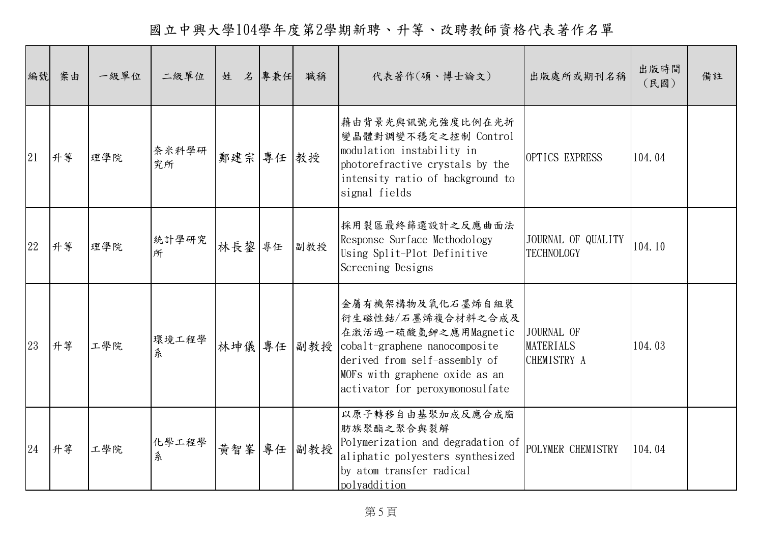國立中興大學104學年度第2學期新聘、升等、改聘教師資格代表著作名單

| 編號 | 案由 | 一級單位 | 二級單位        | 姓      | 名 專兼任 | 職稱  | 代表著作(碩、博士論文)                                                                                                                                                                                             | 出版處所或期刊名稱                                     | 出版時間<br>(民國) | 備註 |
|----|----|------|-------------|--------|-------|-----|----------------------------------------------------------------------------------------------------------------------------------------------------------------------------------------------------------|-----------------------------------------------|--------------|----|
| 21 | 升等 | 理學院  | 奈米科學研<br>究所 | 鄭建宗    | 專任    | 教授  | 藉由背景光與訊號光強度比例在光折<br>變晶體對調變不穩定之控制 Control<br>modulation instability in<br>photorefractive crystals by the<br>intensity ratio of background to<br>signal fields                                            | OPTICS EXPRESS                                | 104.04       |    |
| 22 | 升等 | 理學院  | 統計學研究<br>所  | 林長鋆    | 專任    | 副教授 | 採用裂區最終篩選設計之反應曲面法<br>Response Surface Methodology<br>Using Split-Plot Definitive<br>Screening Designs                                                                                                     | JOURNAL OF QUALITY<br><b>TECHNOLOGY</b>       | 104.10       |    |
| 23 | 升等 | 工學院  | 環境工程學<br>糸  | 林坤儀 專任 |       |     | 金屬有機架構物及氧化石墨烯自組裝<br>衍生磁性鈷/石墨烯複合材料之合成及<br>在激活過一硫酸氫鉀之應用Magnetic<br>副教授 cobalt-graphene nanocomposite<br>derived from self-assembly of<br>MOFs with graphene oxide as an<br>activator for peroxymonosulfate | JOURNAL OF<br><b>MATERIALS</b><br>CHEMISTRY A | 104.03       |    |
| 24 | 升等 | 工學院  | 化學工程學<br>糸  | 黃智峯    | 專任    | 副教授 | 以原子轉移自由基聚加成反應合成脂<br>肪族聚酯之聚合與裂解<br>Polymerization and degradation of<br>aliphatic polyesters synthesized<br>by atom transfer radical<br>polyaddition                                                      | POLYMER CHEMISTRY                             | 104.04       |    |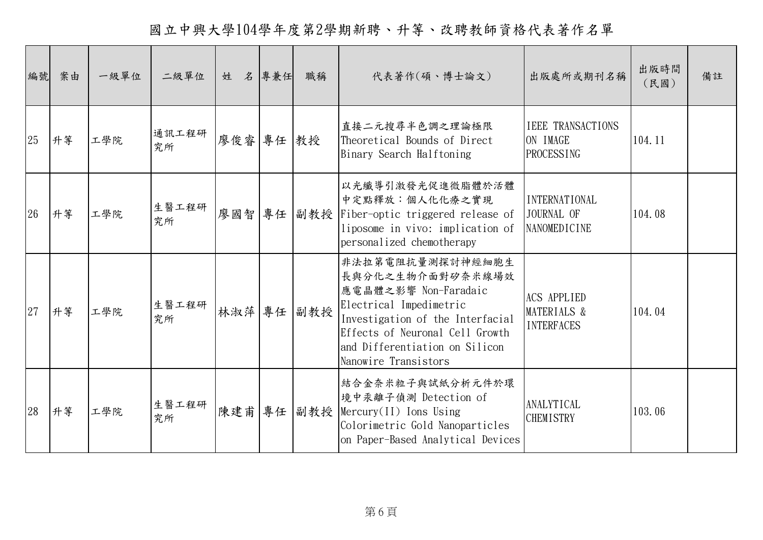國立中興大學104學年度第2學期新聘、升等、改聘教師資格代表著作名單

| 編號 | 案由 | 一級單位 | 二級單位        | 姓 名 專兼任   |    | 職稱  | 代表著作(碩、博士論文)                                                                                                                                                                                                             | 出版處所或期刊名稱                                                 | 出版時間<br>(民國) | 備註 |
|----|----|------|-------------|-----------|----|-----|--------------------------------------------------------------------------------------------------------------------------------------------------------------------------------------------------------------------------|-----------------------------------------------------------|--------------|----|
| 25 | 升等 | 工學院  | 通訊工程研<br>究所 | 廖俊睿 專任 教授 |    |     | 直接二元搜尋半色調之理論極限<br>Theoretical Bounds of Direct<br>Binary Search Halftoning                                                                                                                                               | <b>IEEE TRANSACTIONS</b><br>ON IMAGE<br><b>PROCESSING</b> | 104.11       |    |
| 26 | 升等 | 工學院  | 生醫工程研<br>究所 | 廖國智       | 專任 |     | 以光纖導引激發光促進微脂體於活體<br>中定點釋放:個人化化療之實現<br>副教授 Fiber-optic triggered release of<br>liposome in vivo: implication of<br>personalized chemotherapy                                                                              | <b>INTERNATIONAL</b><br>JOURNAL OF<br>NANOMEDICINE        | 104.08       |    |
| 27 | 升等 | 工學院  | 生醫工程研<br>究所 | 林淑萍 專任    |    | 副教授 | 非法拉第電阻抗量測探討神經細胞生<br>長與分化之生物介面對矽奈米線場效<br>應電晶體之影響 Non-Faradaic<br>Electrical Impedimetric<br>Investigation of the Interfacial<br>Effects of Neuronal Cell Growth<br>and Differentiation on Silicon<br>Nanowire Transistors | <b>ACS APPLIED</b><br>MATERIALS &<br><b>INTERFACES</b>    | 104.04       |    |
| 28 | 升等 | 工學院  | 生醫工程研<br>究所 | 陳建甫       | 專任 |     | 結合金奈米粒子與試紙分析元件於環<br>境中汞離子偵測 Detection of<br>副教授 Mercury(II) Ions Using<br>Colorimetric Gold Nanoparticles<br>on Paper-Based Analytical Devices                                                                           | ANALYTICAL<br><b>CHEMISTRY</b>                            | 103.06       |    |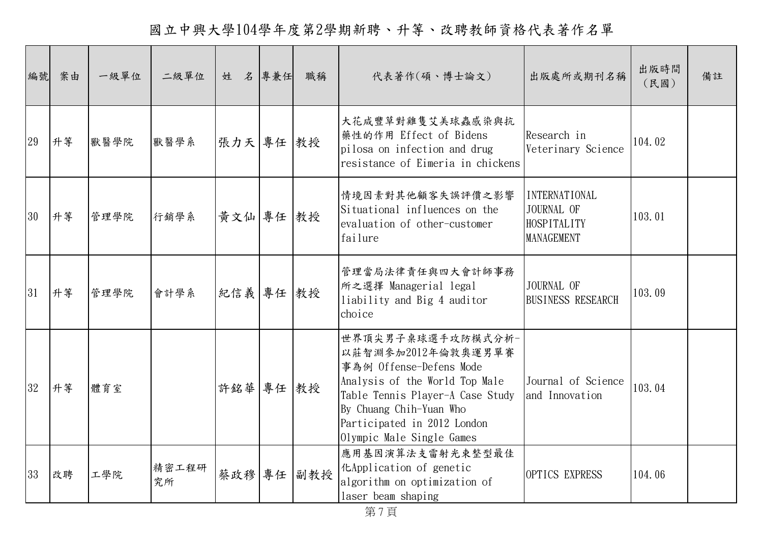國立中興大學104學年度第2學期新聘、升等、改聘教師資格代表著作名單

| 編號 | 案由 | 一級單位 | 二級單位        | 姓 名 專兼任    | 職稱         | 代表著作(碩、博士論文)                                                                                                                                                                                                                    | 出版處所或期刊名稱                                                              | 出版時間<br>(民國) | 備註 |
|----|----|------|-------------|------------|------------|---------------------------------------------------------------------------------------------------------------------------------------------------------------------------------------------------------------------------------|------------------------------------------------------------------------|--------------|----|
| 29 | 升等 | 獸醫學院 | 獸醫學系        | 張力天 專任 教授  |            | 大花咸豐草對雞隻艾美球蟲感染與抗<br>│藥性的作用 Effect of Bidens<br>pilosa on infection and drug<br>resistance of Eimeria in chickens                                                                                                                | Research in<br>Veterinary Science                                      | 104.02       |    |
| 30 | 升等 | 管理學院 | 行銷學系        | 黃文仙 專任 教授  |            | 情境因素對其他顧客失誤評價之影響<br>Situational influences on the<br>evaluation of other-customer<br>failure                                                                                                                                    | <b>INTERNATIONAL</b><br>JOURNAL OF<br>HOSPITALITY<br><b>MANAGEMENT</b> | 103.01       |    |
| 31 | 升等 | 管理學院 | 會計學系        | 紀信義 專任  教授 |            | 管理當局法律責任與四大會計師事務<br>所之選擇 Managerial legal<br>liability and Big 4 auditor<br>choice                                                                                                                                              | JOURNAL OF<br><b>BUSINESS RESEARCH</b>                                 | 103.09       |    |
| 32 | 升等 | 體育室  |             | 許銘華 專任 教授  |            | 世界頂尖男子桌球選手攻防模式分析-<br>以莊智淵參加2012年倫敦奧運男單賽<br>事為例 Offense-Defens Mode<br>Analysis of the World Top Male<br>Table Tennis Player-A Case Study<br>By Chuang Chih-Yuan Who<br>Participated in 2012 London<br>Olympic Male Single Games | Journal of Science<br>and Innovation                                   | 103.04       |    |
| 33 | 改聘 | 工學院  | 精密工程研<br>究所 |            | 蔡政穆 專任 副教授 | 應用基因演算法支雷射光束整型最佳<br>Examplication of genetic<br>algorithm on optimization of<br>laser beam shaping                                                                                                                              | OPTICS EXPRESS                                                         | 104.06       |    |